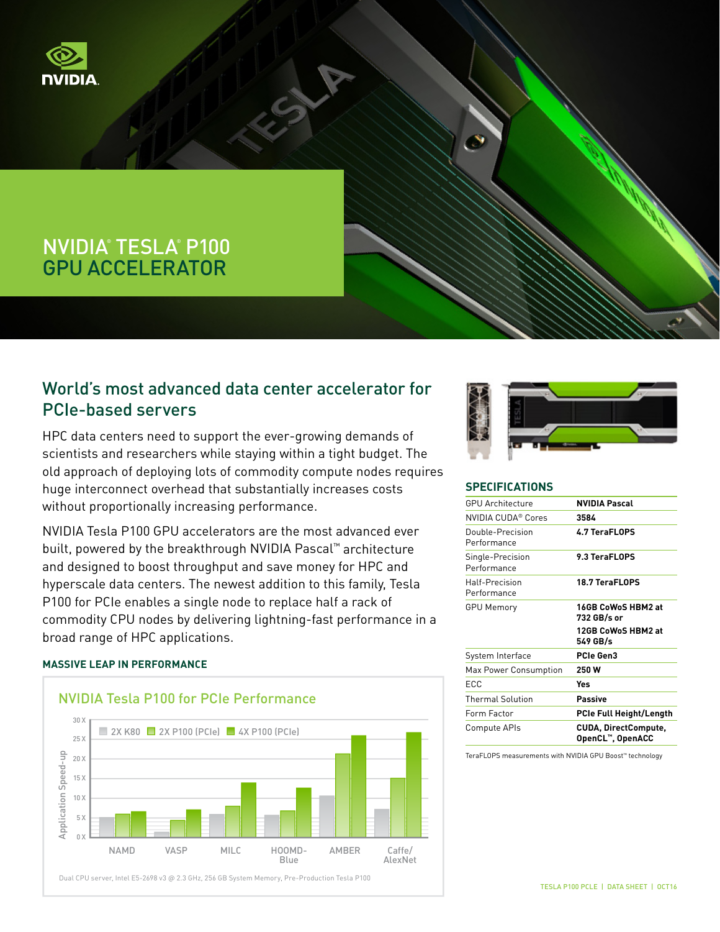

# NVIDIA® TESLA® P100 GPU ACCELERATOR

# World's most advanced data center accelerator for PCIe-based servers

HPC data centers need to support the ever-growing demands of scientists and researchers while staying within a tight budget. The old approach of deploying lots of commodity compute nodes requires huge interconnect overhead that substantially increases costs without proportionally increasing performance.

NVIDIA Tesla P100 GPU accelerators are the most advanced ever built, powered by the breakthrough NVIDIA Pascal™ architecture and designed to boost throughput and save money for HPC and hyperscale data centers. The newest addition to this family, Tesla P100 for PCIe enables a single node to replace half a rack of commodity CPU nodes by delivering lightning-fast performance in a broad range of HPC applications.

## **MASSIVE LEAP IN PERFORMANCE**



Dual CPU server, Intel E5-2698 v3 @ 2.3 GHz, 256 GB System Memory, Pre-Production Tesla P100



#### **SPECIFICATIONS**

| <b>GPU Architecture</b>         | <b>NVIDIA Pascal</b>                            |
|---------------------------------|-------------------------------------------------|
| NVIDIA CUDA® Cores              | 3584                                            |
| Double-Precision<br>Performance | 4.7 TeraFLOPS                                   |
| Single-Precision<br>Performance | 9.3 TeraFLOPS                                   |
| Half-Precision<br>Performance   | 18.7 TeraFLOPS                                  |
| <b>GPU Memory</b>               | 16GB CoWoS HBM2 at<br>732 GB/s or               |
|                                 | 12GB CoWoS HBM2 at<br>549 GB/s                  |
| System Interface                | PCIe Gen3                                       |
| Max Power Consumption           | 250 W                                           |
| ECC                             | Yes                                             |
| <b>Thermal Solution</b>         | <b>Passive</b>                                  |
| Form Factor                     | <b>PCIe Full Height/Length</b>                  |
| Compute APIs                    | <b>CUDA, DirectCompute,</b><br>OpenCL™, OpenACC |

TeraFLOPS measurements with NVIDIA GPU Boost™ technology